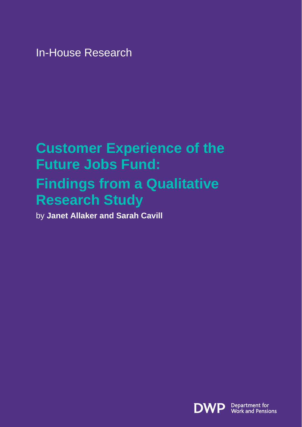In-House Research

# **Customer Experience of the Future Jobs Fund: Findings from a Qualitative**

# **Research Study**

by **Janet Allaker and Sarah Cavill** 

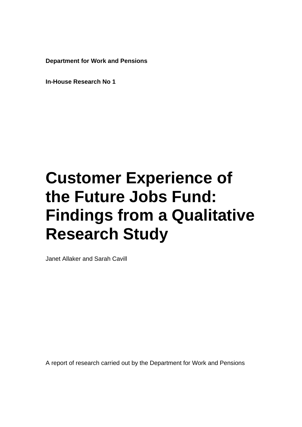**Department for Work and Pensions** 

**In-House Research No 1**

# **Customer Experience of the Future Jobs Fund: Findings from a Qualitative Research Study**

Janet Allaker and Sarah Cavill

A report of research carried out by the Department for Work and Pensions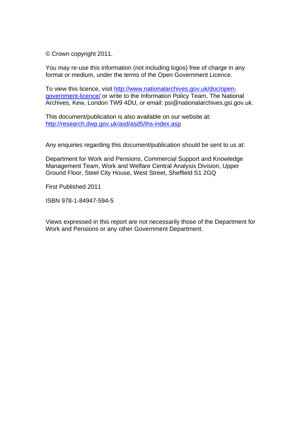© Crown copyright 2011.

You may re-use this information (not including logos) free of charge in any format or medium, under the terms of the Open Government Licence.

To view this licence, visit [http://www.nationalarchives.gov.uk/doc/open](http://www.nationalarchives.gov.uk/doc/open-government-licence/)[government-licence/](http://www.nationalarchives.gov.uk/doc/open-government-licence/) or write to the Information Policy Team, The National Archives, Kew, London TW9 4DU, or email: psi@nationalarchives.gsi.gov.uk.

This document/publication is also available on our website at: <http://research.dwp.gov.uk/asd/asd5/ihs-index.asp>

Any enquiries regarding this document/publication should be sent to us at:

Department for Work and Pensions, Commercial Support and Knowledge Management Team, Work and Welfare Central Analysis Division, Upper Ground Floor, Steel City House, West Street, Sheffield S1 2GQ

First Published 2011

ISBN 978-1-84947-594-5

Views expressed in this report are not necessarily those of the Department for Work and Pensions or any other Government Department.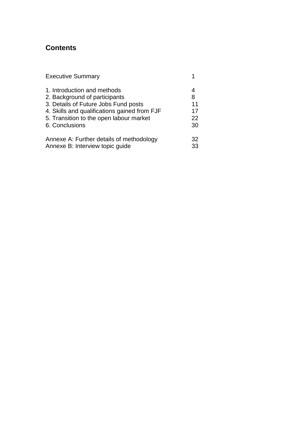# **Contents**

| <b>Executive Summary</b>                     |    |
|----------------------------------------------|----|
| 1. Introduction and methods                  |    |
| 2. Background of participants                | 8  |
| 3. Details of Future Jobs Fund posts         | 11 |
| 4. Skills and qualifications gained from FJF | 17 |
| 5. Transition to the open labour market      | 22 |
| 6. Conclusions                               | 30 |
| Annexe A: Further details of methodology     | 32 |
| Annexe B: Interview topic guide              | 33 |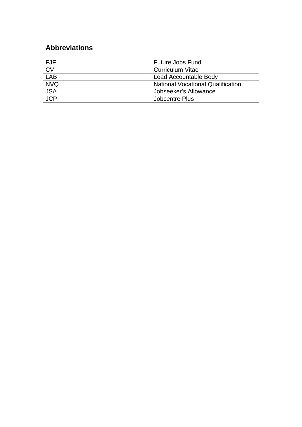# **Abbreviations**

| <b>FJF</b> | <b>Future Jobs Fund</b>                  |  |
|------------|------------------------------------------|--|
| CV         | <b>Curriculum Vitae</b>                  |  |
| <b>LAB</b> | Lead Accountable Body                    |  |
| <b>NVQ</b> | <b>National Vocational Qualification</b> |  |
| <b>JSA</b> | Jobseeker's Allowance                    |  |
| <b>JCP</b> | Jobcentre Plus                           |  |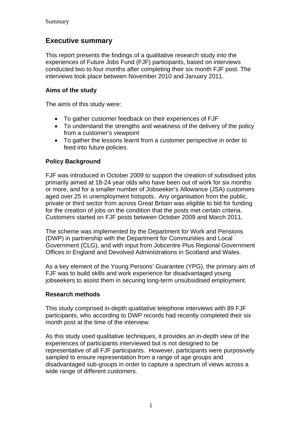### **Executive summary**

This report presents the findings of a qualitative research study into the experiences of Future Jobs Fund (FJF) participants, based on interviews conducted two to four months after completing their six month FJF post. The interviews took place between November 2010 and January 2011.

#### **Aims of the study**

The aims of this study were:

- To gather customer feedback on their experiences of FJF
- To understand the strengths and weakness of the delivery of the policy from a customer's viewpoint
- To gather the lessons learnt from a customer perspective in order to feed into future policies.

#### **Policy Background**

FJF was introduced in October 2009 to support the creation of subsidised jobs primarily aimed at 18-24 year olds who have been out of work for six months or more, and for a smaller number of Jobseeker's Allowance (JSA) customers aged over 25 in unemployment hotspots. Any organisation from the public, private or third sector from across Great Britain was eligible to bid for funding for the creation of jobs on the condition that the posts met certain criteria. Customers started on FJF posts between October 2009 and March 2011.

The scheme was implemented by the Department for Work and Pensions (DWP) in partnership with the Department for Communities and Local Government (CLG), and with input from Jobcentre Plus Regional Government Offices in England and Devolved Administrations in Scotland and Wales.

As a key element of the Young Persons' Guarantee (YPG), the primary aim of FJF was to build skills and work experience for disadvantaged young jobseekers to assist them in securing long-term unsubsidised employment.

#### **Research methods**

This study comprised in-depth qualitative telephone interviews with 89 FJF participants, who according to DWP records had recently completed their six month post at the time of the interview.

As this study used qualitative techniques, it provides an in-depth view of the experiences of participants interviewed but is not designed to be representative of all FJF participants. However, participants were purposively sampled to ensure representation from a range of age groups and disadvantaged sub-groups in order to capture a spectrum of views across a wide range of different customers.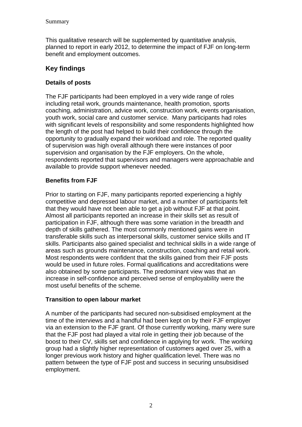This qualitative research will be supplemented by quantitative analysis, planned to report in early 2012, to determine the impact of FJF on long-term benefit and employment outcomes.

#### **Key findings**

#### **Details of posts**

The FJF participants had been employed in a very wide range of roles including retail work, grounds maintenance, health promotion, sports coaching, administration, advice work, construction work, events organisation, youth work, social care and customer service. Many participants had roles with significant levels of responsibility and some respondents highlighted how the length of the post had helped to build their confidence through the opportunity to gradually expand their workload and role. The reported quality of supervision was high overall although there were instances of poor supervision and organisation by the FJF employers. On the whole, respondents reported that supervisors and managers were approachable and available to provide support whenever needed.

#### **Benefits from FJF**

Prior to starting on FJF, many participants reported experiencing a highly competitive and depressed labour market, and a number of participants felt that they would have not been able to get a job without FJF at that point. Almost all participants reported an increase in their skills set as result of participation in FJF, although there was some variation in the breadth and depth of skills gathered. The most commonly mentioned gains were in transferable skills such as interpersonal skills, customer service skills and IT skills. Participants also gained specialist and technical skills in a wide range of areas such as grounds maintenance, construction, coaching and retail work. Most respondents were confident that the skills gained from their FJF posts would be used in future roles. Formal qualifications and accreditations were also obtained by some participants. The predominant view was that an increase in self-confidence and perceived sense of employability were the most useful benefits of the scheme.

#### **Transition to open labour market**

A number of the participants had secured non-subsidised employment at the time of the interviews and a handful had been kept on by their FJF employer via an extension to the FJF grant. Of those currently working, many were sure that the FJF post had played a vital role in getting their job because of the boost to their CV, skills set and confidence in applying for work. The working group had a slightly higher representation of customers aged over 25, with a longer previous work history and higher qualification level. There was no pattern between the type of FJF post and success in securing unsubsidised employment.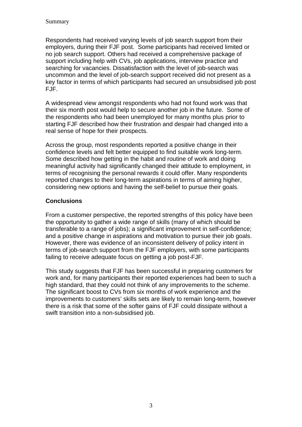Respondents had received varying levels of job search support from their employers, during their FJF post. Some participants had received limited or no job search support. Others had received a comprehensive package of support including help with CVs, job applications, interview practice and searching for vacancies. Dissatisfaction with the level of job-search was uncommon and the level of job-search support received did not present as a key factor in terms of which participants had secured an unsubsidised job post FJF.

A widespread view amongst respondents who had not found work was that their six month post would help to secure another job in the future. Some of the respondents who had been unemployed for many months plus prior to starting FJF described how their frustration and despair had changed into a real sense of hope for their prospects.

Across the group, most respondents reported a positive change in their confidence levels and felt better equipped to find suitable work long-term. Some described how getting in the habit and routine of work and doing meaningful activity had significantly changed their attitude to employment, in terms of recognising the personal rewards it could offer. Many respondents reported changes to their long-term aspirations in terms of aiming higher, considering new options and having the self-belief to pursue their goals.

#### **Conclusions**

From a customer perspective, the reported strengths of this policy have been the opportunity to gather a wide range of skills (many of which should be transferable to a range of jobs); a significant improvement in self-confidence; and a positive change in aspirations and motivation to pursue their job goals. However, there was evidence of an inconsistent delivery of policy intent in terms of job-search support from the FJF employers, with some participants failing to receive adequate focus on getting a job post-FJF.

This study suggests that FJF has been successful in preparing customers for work and, for many participants their reported experiences had been to such a high standard, that they could not think of any improvements to the scheme. The significant boost to CVs from six months of work experience and the improvements to customers' skills sets are likely to remain long-term, however there is a risk that some of the softer gains of FJF could dissipate without a swift transition into a non-subsidised job.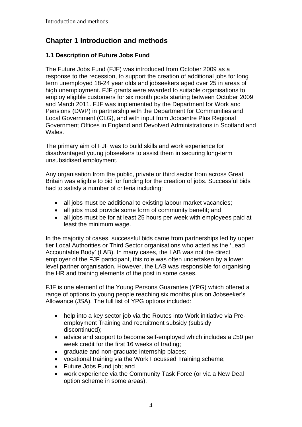# **Chapter 1 Introduction and methods**

#### **1.1 Description of Future Jobs Fund**

The Future Jobs Fund (FJF) was introduced from October 2009 as a response to the recession, to support the creation of additional jobs for long term unemployed 18-24 year olds and jobseekers aged over 25 in areas of high unemployment. FJF grants were awarded to suitable organisations to employ eligible customers for six month posts starting between October 2009 and March 2011. FJF was implemented by the Department for Work and Pensions (DWP) in partnership with the Department for Communities and Local Government (CLG), and with input from Jobcentre Plus Regional Government Offices in England and Devolved Administrations in Scotland and Wales.

The primary aim of FJF was to build skills and work experience for disadvantaged young jobseekers to assist them in securing long-term unsubsidised employment.

Any organisation from the public, private or third sector from across Great Britain was eligible to bid for funding for the creation of jobs. Successful bids had to satisfy a number of criteria including:

- all jobs must be additional to existing labour market vacancies;
- all jobs must provide some form of community benefit; and
- all jobs must be for at least 25 hours per week with employees paid at least the minimum wage.

In the majority of cases, successful bids came from partnerships led by upper tier Local Authorities or Third Sector organisations who acted as the 'Lead Accountable Body' (LAB). In many cases, the LAB was not the direct employer of the FJF participant, this role was often undertaken by a lower level partner organisation. However, the LAB was responsible for organising the HR and training elements of the post in some cases.

FJF is one element of the Young Persons Guarantee (YPG) which offered a range of options to young people reaching six months plus on Jobseeker's Allowance (JSA). The full list of YPG options included:

- help into a key sector job via the Routes into Work initiative via Preemployment Training and recruitment subsidy (subsidy discontinued);
- advice and support to become self-employed which includes a £50 per week credit for the first 16 weeks of trading;
- graduate and non-graduate internship places;
- vocational training via the Work Focussed Training scheme;
- Future Jobs Fund job; and
- work experience via the Community Task Force (or via a New Deal option scheme in some areas).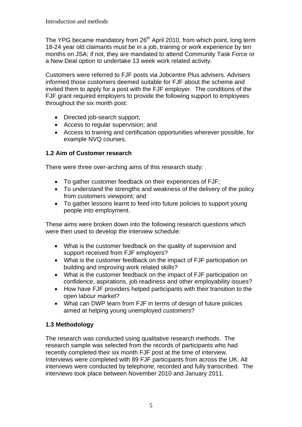The YPG became mandatory from 26<sup>th</sup> April 2010, from which point, long term 18-24 year old claimants must be in a job, training or work experience by ten months on JSA; if not, they are mandated to attend Community Task Force or a New Deal option to undertake 13 week work related activity.

Customers were referred to FJF posts via Jobcentre Plus advisers. Advisers informed those customers deemed suitable for FJF about the scheme and invited them to apply for a post with the FJF employer. The conditions of the FJF grant required employers to provide the following support to employees throughout the six month post:

- Directed job-search support;
- Access to regular supervision; and
- Access to training and certification opportunities wherever possible, for example NVQ courses.

#### **1.2 Aim of Customer research**

There were three over-arching aims of this research study:

- To gather customer feedback on their experiences of FJF:
- To understand the strengths and weakness of the delivery of the policy from customers viewpoint; and
- To gather lessons learnt to feed into future policies to support young people into employment.

These aims were broken down into the following research questions which were then used to develop the interview schedule:

- What is the customer feedback on the quality of supervision and support received from FJF employers?
- What is the customer feedback on the impact of FJF participation on building and improving work related skills?
- What is the customer feedback on the impact of FJF participation on confidence, aspirations, job readiness and other employability issues?
- How have FJF providers helped participants with their transition to the open labour market?
- What can DWP learn from FJF in terms of design of future policies aimed at helping young unemployed customers?

#### **1.3 Methodology**

The research was conducted using qualitative research methods. The research sample was selected from the records of participants who had recently completed their six month FJF post at the time of interview. Interviews were completed with 89 FJF participants from across the UK. All interviews were conducted by telephone, recorded and fully transcribed. The interviews took place between November 2010 and January 2011.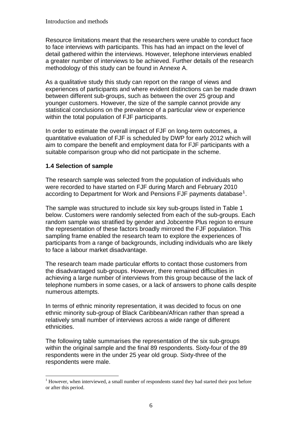Resource limitations meant that the researchers were unable to conduct face to face interviews with participants. This has had an impact on the level of detail gathered within the interviews. However, telephone interviews enabled a greater number of interviews to be achieved. Further details of the research methodology of this study can be found in Annexe A.

As a qualitative study this study can report on the range of views and experiences of participants and where evident distinctions can be made drawn between different sub-groups, such as between the over 25 group and younger customers. However, the size of the sample cannot provide any statistical conclusions on the prevalence of a particular view or experience within the total population of FJF participants.

In order to estimate the overall impact of FJF on long-term outcomes, a quantitative evaluation of FJF is scheduled by DWP for early 2012 which will aim to compare the benefit and employment data for FJF participants with a suitable comparison group who did not participate in the scheme.

#### **1.4 Selection of sample**

The research sample was selected from the population of individuals who were recorded to have started on FJF during March and February 2010 according to Department for Work and Pensions FJF payments database<sup>[1](#page-10-0)</sup>.

The sample was structured to include six key sub-groups listed in Table 1 below. Customers were randomly selected from each of the sub-groups. Each random sample was stratified by gender and Jobcentre Plus region to ensure the representation of these factors broadly mirrored the FJF population. This sampling frame enabled the research team to explore the experiences of participants from a range of backgrounds, including individuals who are likely to face a labour market disadvantage.

The research team made particular efforts to contact those customers from the disadvantaged sub-groups. However, there remained difficulties in achieving a large number of interviews from this group because of the lack of telephone numbers in some cases, or a lack of answers to phone calls despite numerous attempts.

In terms of ethnic minority representation, it was decided to focus on one ethnic minority sub-group of Black Caribbean/African rather than spread a relatively small number of interviews across a wide range of different ethnicities.

The following table summarises the representation of the six sub-groups within the original sample and the final 89 respondents. Sixty-four of the 89 respondents were in the under 25 year old group. Sixty-three of the respondents were male.

<span id="page-10-0"></span> $\overline{a}$  $<sup>1</sup>$  However, when interviewed, a small number of respondents stated they had started their post before</sup> or after this period.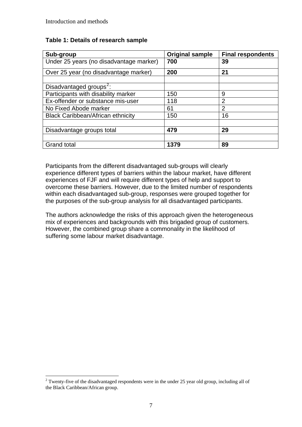#### **Table 1: Details of research sample**

| Sub-group                                | <b>Original sample</b> | <b>Final respondents</b> |
|------------------------------------------|------------------------|--------------------------|
| Under 25 years (no disadvantage marker)  | 700                    | 39                       |
| Over 25 year (no disadvantage marker)    | 200                    | 21                       |
|                                          |                        |                          |
| Disadvantaged groups <sup>2</sup> :      |                        |                          |
| Participants with disability marker      | 150                    | 9                        |
| Ex-offender or substance mis-user        | 118                    | $\overline{2}$           |
| No Fixed Abode marker                    | 61                     | $\overline{2}$           |
| <b>Black Caribbean/African ethnicity</b> | 150                    | 16                       |
|                                          |                        |                          |
| Disadvantage groups total                | 479                    | 29                       |
|                                          |                        |                          |
| <b>Grand total</b>                       | 1379                   | 89                       |

Participants from the different disadvantaged sub-groups will clearly experience different types of barriers within the labour market, have different experiences of FJF and will require different types of help and support to overcome these barriers. However, due to the limited number of respondents within each disadvantaged sub-group, responses were grouped together for the purposes of the sub-group analysis for all disadvantaged participants.

The authors acknowledge the risks of this approach given the heterogeneous mix of experiences and backgrounds with this brigaded group of customers. However, the combined group share a commonality in the likelihood of suffering some labour market disadvantage.

<span id="page-11-0"></span> $\overline{a}$ <sup>2</sup> Twenty-five of the disadvantaged respondents were in the under 25 year old group, including all of the Black Caribbean/African group.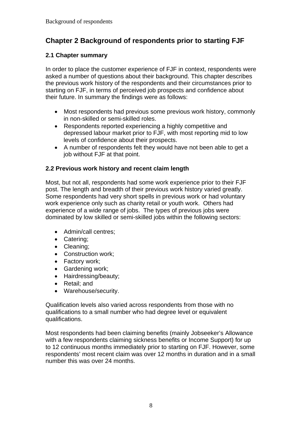# **Chapter 2 Background of respondents prior to starting FJF**

#### **2.1 Chapter summary**

In order to place the customer experience of FJF in context, respondents were asked a number of questions about their background. This chapter describes the previous work history of the respondents and their circumstances prior to starting on FJF, in terms of perceived job prospects and confidence about their future. In summary the findings were as follows:

- Most respondents had previous some previous work history, commonly in non-skilled or semi-skilled roles.
- Respondents reported experiencing a highly competitive and depressed labour market prior to FJF, with most reporting mid to low levels of confidence about their prospects.
- A number of respondents felt they would have not been able to get a job without FJF at that point.

#### **2.2 Previous work history and recent claim length**

Most, but not all, respondents had some work experience prior to their FJF post. The length and breadth of their previous work history varied greatly. Some respondents had very short spells in previous work or had voluntary work experience only such as charity retail or youth work. Others had experience of a wide range of jobs. The types of previous jobs were dominated by low skilled or semi-skilled jobs within the following sectors:

- Admin/call centres;
- Catering;
- Cleaning;
- Construction work;
- Factory work;
- Gardening work;
- Hairdressing/beauty;
- Retail; and
- Warehouse/security.

Qualification levels also varied across respondents from those with no qualifications to a small number who had degree level or equivalent qualifications.

Most respondents had been claiming benefits (mainly Jobseeker's Allowance with a few respondents claiming sickness benefits or Income Support) for up to 12 continuous months immediately prior to starting on FJF. However, some respondents' most recent claim was over 12 months in duration and in a small number this was over 24 months.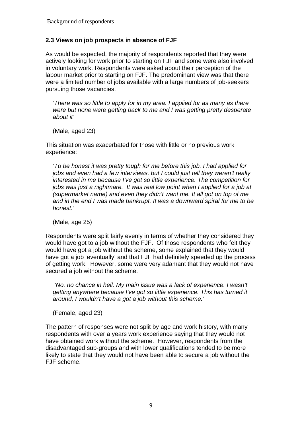#### **2.3 Views on job prospects in absence of FJF**

As would be expected, the majority of respondents reported that they were actively looking for work prior to starting on FJF and some were also involved in voluntary work. Respondents were asked about their perception of the labour market prior to starting on FJF. The predominant view was that there were a limited number of jobs available with a large numbers of job-seekers pursuing those vacancies.

*'There was so little to apply for in my area. I applied for as many as there were but none were getting back to me and I was getting pretty desperate about it'* 

(Male, aged 23)

This situation was exacerbated for those with little or no previous work experience:

*'To be honest it was pretty tough for me before this job. I had applied for jobs and even had a few interviews, but I could just tell they weren't really interested in me because I've got so little experience. The competition for jobs was just a nightmare. It was real low point when I applied for a job at (supermarket name) and even they didn't want me. It all got on top of me and in the end I was made bankrupt. It was a downward spiral for me to be honest.'* 

(Male, age 25)

Respondents were split fairly evenly in terms of whether they considered they would have got to a job without the FJF. Of those respondents who felt they would have got a job without the scheme, some explained that they would have got a job 'eventually' and that FJF had definitely speeded up the process of getting work. However, some were very adamant that they would not have secured a job without the scheme.

 *'No. no chance in hell. My main issue was a lack of experience. I wasn't getting anywhere because I've got so little experience. This has turned it around, I wouldn't have a got a job without this scheme.'* 

(Female, aged 23)

The pattern of responses were not split by age and work history, with many respondents with over a years work experience saying that they would not have obtained work without the scheme. However, respondents from the disadvantaged sub-groups and with lower qualifications tended to be more likely to state that they would not have been able to secure a job without the FJF scheme.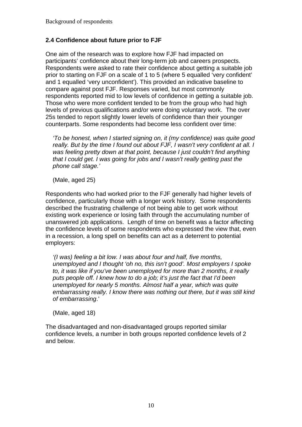#### **2.4 Confidence about future prior to FJF**

One aim of the research was to explore how FJF had impacted on participants' confidence about their long-term job and careers prospects. Respondents were asked to rate their confidence about getting a suitable job prior to starting on FJF on a scale of 1 to 5 (where 5 equalled 'very confident' and 1 equalled 'very unconfident'). This provided an indicative baseline to compare against post FJF. Responses varied, but most commonly respondents reported mid to low levels of confidence in getting a suitable job. Those who were more confident tended to be from the group who had high levels of previous qualifications and/or were doing voluntary work. The over 25s tended to report slightly lower levels of confidence than their younger counterparts. Some respondents had become less confident over time:

*'To be honest, when I started signing on, it (my confidence) was quite good really. But by the time I found out about FJF, I wasn't very confident at all. I was feeling pretty down at that point, because I just couldn't find anything that I could get. I was going for jobs and I wasn't really getting past the phone call stage.'*

(Male, aged 25)

Respondents who had worked prior to the FJF generally had higher levels of confidence, particularly those with a longer work history. Some respondents described the frustrating challenge of not being able to get work without existing work experience or losing faith through the accumulating number of unanswered job applications. Length of time on benefit was a factor affecting the confidence levels of some respondents who expressed the view that, even in a recession, a long spell on benefits can act as a deterrent to potential employers:

*'(I was) feeling a bit low. I was about four and half, five months, unemployed and I thought 'oh no, this isn't good'. Most employers I spoke to, it was like if you've been unemployed for more than 2 months, it really puts people off. I knew how to do a job; it's just the fact that I'd been unemployed for nearly 5 months. Almost half a year, which was quite embarrassing really. I know there was nothing out there, but it was still kind of embarrassing*.'

(Male, aged 18)

The disadvantaged and non-disadvantaged groups reported similar confidence levels, a number in both groups reported confidence levels of 2 and below.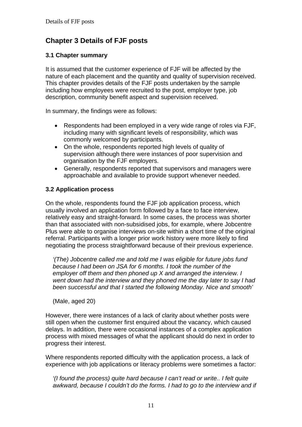# **Chapter 3 Details of FJF posts**

#### **3.1 Chapter summary**

It is assumed that the customer experience of FJF will be affected by the nature of each placement and the quantity and quality of supervision received. This chapter provides details of the FJF posts undertaken by the sample including how employees were recruited to the post, employer type, job description, community benefit aspect and supervision received.

In summary, the findings were as follows:

- Respondents had been employed in a very wide range of roles via FJF, including many with significant levels of responsibility, which was commonly welcomed by participants.
- On the whole, respondents reported high levels of quality of supervision although there were instances of poor supervision and organisation by the FJF employers.
- Generally, respondents reported that supervisors and managers were approachable and available to provide support whenever needed.

#### **3.2 Application process**

On the whole, respondents found the FJF job application process, which usually involved an application form followed by a face to face interview, relatively easy and straight-forward. In some cases, the process was shorter than that associated with non-subsidised jobs, for example, where Jobcentre Plus were able to organise interviews on-site within a short time of the original referral. Participants with a longer prior work history were more likely to find negotiating the process straightforward because of their previous experience.

*'(The) Jobcentre called me and told me I was eligible for future jobs fund because I had been on JSA for 6 months. I took the number of the employer off them and then phoned up X and arranged the interview. I went down had the interview and they phoned me the day later to say I had been successful and that I started the following Monday. Nice and smooth'* 

(Male, aged 20)

However, there were instances of a lack of clarity about whether posts were still open when the customer first enquired about the vacancy, which caused delays. In addition, there were occasional instances of a complex application process with mixed messages of what the applicant should do next in order to progress their interest.

Where respondents reported difficulty with the application process, a lack of experience with job applications or literacy problems were sometimes a factor:

*'(I found the process) quite hard because I can't read or write.. I felt quite awkward, because I couldn't do the forms. I had to go to the interview and if*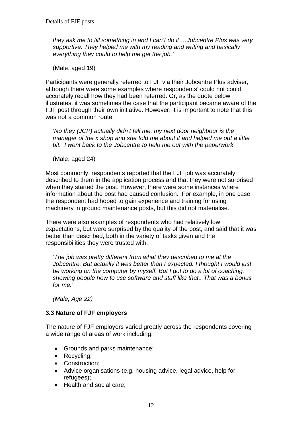*they ask me to fill something in and I can't do it….Jobcentre Plus was very supportive. They helped me with my reading and writing and basically everything they could to help me get the job.'* 

(Male, aged 19)

Participants were generally referred to FJF via their Jobcentre Plus adviser, although there were some examples where respondents' could not could accurately recall how they had been referred. Or, as the quote below illustrates, it was sometimes the case that the participant became aware of the FJF post through their own initiative. However, it is important to note that this was not a common route.

*'No they (JCP) actually didn't tell me, my next door neighbour is the manager of the x shop and she told me about it and helped me out a little bit. I went back to the Jobcentre to help me out with the paperwork.'* 

(Male, aged 24)

Most commonly, respondents reported that the FJF job was accurately described to them in the application process and that they were not surprised when they started the post. However, there were some instances where information about the post had caused confusion. For example, in one case the respondent had hoped to gain experience and training for using machinery in ground maintenance posts, but this did not materialise.

There were also examples of respondents who had relatively low expectations, but were surprised by the quality of the post, and said that it was better than described, both in the variety of tasks given and the responsibilities they were trusted with.

*'The job was pretty different from what they described to me at the Jobcentre. But actually it was better than I expected. I thought I would just be working on the computer by myself. But I got to do a lot of coaching, showing people how to use software and stuff like that.. That was a bonus for me.'* 

*(Male, Age 22)* 

#### **3.3 Nature of FJF employers**

The nature of FJF employers varied greatly across the respondents covering a wide range of areas of work including:

- Grounds and parks maintenance;
- Recycling;
- Construction;
- Advice organisations (e.g. housing advice, legal advice, help for refugees);
- Health and social care;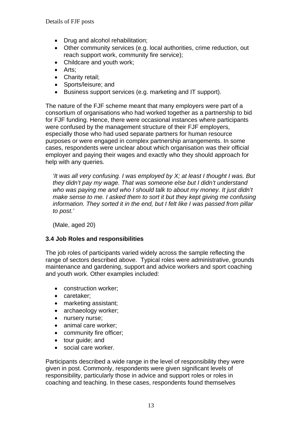- Drug and alcohol rehabilitation;
- Other community services (e.g. local authorities, crime reduction, out reach support work, community fire service);
- Childcare and youth work:
- Arts:
- Charity retail:
- Sports/leisure; and
- Business support services (e.g. marketing and IT support).

The nature of the FJF scheme meant that many employers were part of a consortium of organisations who had worked together as a partnership to bid for FJF funding. Hence, there were occasional instances where participants were confused by the management structure of their FJF employers, especially those who had used separate partners for human resource purposes or were engaged in complex partnership arrangements. In some cases, respondents were unclear about which organisation was their official employer and paying their wages and exactly who they should approach for help with any queries.

*'It was all very confusing. I was employed by X; at least I thought I was. But they didn't pay my wage. That was someone else but I didn't understand who was paying me and who I should talk to about my money. It just didn't make sense to me. I asked them to sort it but they kept giving me confusing information. They sorted it in the end, but I felt like I was passed from pillar to post.'* 

(Male, aged 20)

#### **3.4 Job Roles and responsibilities**

The job roles of participants varied widely across the sample reflecting the range of sectors described above. Typical roles were administrative, grounds maintenance and gardening, support and advice workers and sport coaching and youth work. Other examples included:

- construction worker;
- caretaker;
- marketing assistant;
- archaeology worker;
- nursery nurse;
- animal care worker;
- community fire officer;
- tour guide; and
- social care worker.

Participants described a wide range in the level of responsibility they were given in post. Commonly, respondents were given significant levels of responsibility, particularly those in advice and support roles or roles in coaching and teaching. In these cases, respondents found themselves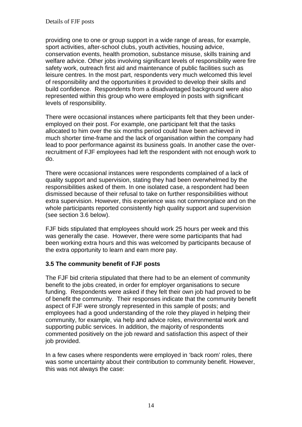providing one to one or group support in a wide range of areas, for example, sport activities, after-school clubs, youth activities, housing advice, conservation events, health promotion, substance misuse, skills training and welfare advice. Other jobs involving significant levels of responsibility were fire safety work, outreach first aid and maintenance of public facilities such as leisure centres. In the most part, respondents very much welcomed this level of responsibility and the opportunities it provided to develop their skills and build confidence. Respondents from a disadvantaged background were also represented within this group who were employed in posts with significant levels of responsibility.

There were occasional instances where participants felt that they been underemployed on their post. For example, one participant felt that the tasks allocated to him over the six months period could have been achieved in much shorter time-frame and the lack of organisation within the company had lead to poor performance against its business goals. In another case the overrecruitment of FJF employees had left the respondent with not enough work to do.

There were occasional instances were respondents complained of a lack of quality support and supervision, stating they had been overwhelmed by the responsibilities asked of them. In one isolated case, a respondent had been dismissed because of their refusal to take on further responsibilities without extra supervision. However, this experience was not commonplace and on the whole participants reported consistently high quality support and supervision (see section 3.6 below).

FJF bids stipulated that employees should work 25 hours per week and this was generally the case. However, there were some participants that had been working extra hours and this was welcomed by participants because of the extra opportunity to learn and earn more pay.

#### **3.5 The community benefit of FJF posts**

The FJF bid criteria stipulated that there had to be an element of community benefit to the jobs created, in order for employer organisations to secure funding. Respondents were asked if they felt their own job had proved to be of benefit the community. Their responses indicate that the community benefit aspect of FJF were strongly represented in this sample of posts; and employees had a good understanding of the role they played in helping their community, for example, via help and advice roles, environmental work and supporting public services. In addition, the majority of respondents commented positively on the job reward and satisfaction this aspect of their job provided.

In a few cases where respondents were employed in 'back room' roles, there was some uncertainty about their contribution to community benefit. However, this was not always the case: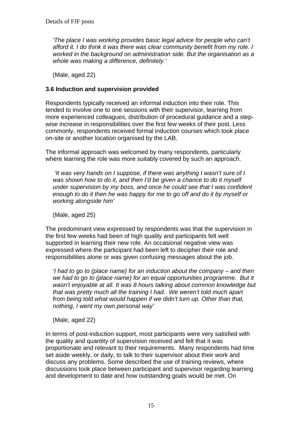*'The place I was working provides basic legal advice for people who can't afford it. I do think it was there was clear community benefit from my role. I worked in the background on administration side. But the organisation as a whole was making a difference, definitely.'* 

(Male, aged 22)

#### **3.6 Induction and supervision provided**

Respondents typically received an informal induction into their role. This tended to involve one to one sessions with their supervisor, learning from more experienced colleagues, distribution of procedural guidance and a stepwise increase in responsibilities over the first few weeks of their post. Less commonly, respondents received formal induction courses which took place on-site or another location organised by the LAB.

The informal approach was welcomed by many respondents, particularly where learning the role was more suitably covered by such an approach.

 *'It was very hands on I suppose, if there was anything I wasn't sure of I was shown how to do it, and then I'd be given a chance to do it myself under supervision by my boss, and once he could see that I was confident enough to do it then he was happy for me to go off and do it by myself or working alongside him'* 

(Male, aged 25)

The predominant view expressed by respondents was that the supervision in the first few weeks had been of high quality and participants felt well supported in learning their new role. An occasional negative view was expressed where the participant had been left to decipher their role and responsibilities alone or was given confusing messages about the job.

*'I had to go to (place name) for an induction about the company – and then*  we had to go to (place name) for an equal opportunities programme. But it *wasn't enjoyable at all. It was 8 hours talking about common knowledge but that was pretty much all the training I had. We weren't told much apart from being told what would happen if we didn't turn up. Other than that, nothing, I went my own personal way'* 

(Male, aged 22)

In terms of post-induction support, most participants were very satisfied with the quality and quantity of supervision received and felt that it was proportionate and relevant to their requirements. Many respondents had time set aside weekly, or daily, to talk to their supervisor about their work and discuss any problems. Some described the use of training reviews, where discussions took place between participant and supervisor regarding learning and development to date and how outstanding goals would be met. On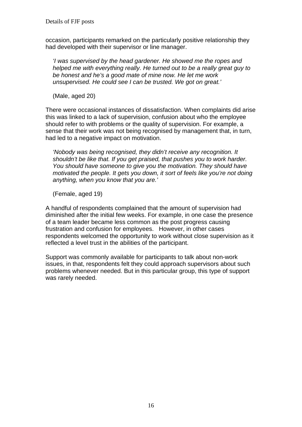occasion, participants remarked on the particularly positive relationship they had developed with their supervisor or line manager.

*'I was supervised by the head gardener. He showed me the ropes and helped me with everything really. He turned out to be a really great guy to be honest and he's a good mate of mine now. He let me work unsupervised. He could see I can be trusted. We got on great.'* 

(Male, aged 20)

There were occasional instances of dissatisfaction. When complaints did arise this was linked to a lack of supervision, confusion about who the employee should refer to with problems or the quality of supervision. For example, a sense that their work was not being recognised by management that, in turn, had led to a negative impact on motivation.

*'Nobody was being recognised, they didn't receive any recognition. It shouldn't be like that. If you get praised, that pushes you to work harder. You should have someone to give you the motivation. They should have motivated the people. It gets you down, it sort of feels like you're not doing anything, when you know that you are.'* 

(Female, aged 19)

A handful of respondents complained that the amount of supervision had diminished after the initial few weeks. For example, in one case the presence of a team leader became less common as the post progress causing frustration and confusion for employees. However, in other cases respondents welcomed the opportunity to work without close supervision as it reflected a level trust in the abilities of the participant.

Support was commonly available for participants to talk about non-work issues, in that, respondents felt they could approach supervisors about such problems whenever needed. But in this particular group, this type of support was rarely needed.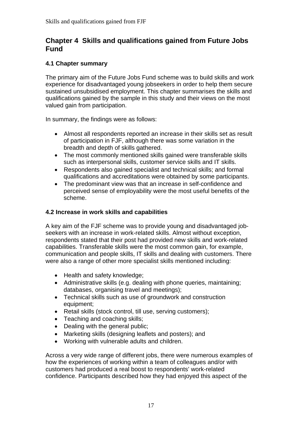# **Chapter 4 Skills and qualifications gained from Future Jobs Fund**

#### **4.1 Chapter summary**

The primary aim of the Future Jobs Fund scheme was to build skills and work experience for disadvantaged young jobseekers in order to help them secure sustained unsubsidised employment. This chapter summarises the skills and qualifications gained by the sample in this study and their views on the most valued gain from participation.

In summary, the findings were as follows:

- Almost all respondents reported an increase in their skills set as result of participation in FJF, although there was some variation in the breadth and depth of skills gathered.
- The most commonly mentioned skills gained were transferable skills such as interpersonal skills, customer service skills and IT skills.
- Respondents also gained specialist and technical skills; and formal qualifications and accreditations were obtained by some participants.
- The predominant view was that an increase in self-confidence and perceived sense of employability were the most useful benefits of the scheme.

#### **4.2 Increase in work skills and capabilities**

A key aim of the FJF scheme was to provide young and disadvantaged jobseekers with an increase in work-related skills. Almost without exception, respondents stated that their post had provided new skills and work-related capabilities. Transferable skills were the most common gain, for example, communication and people skills, IT skills and dealing with customers. There were also a range of other more specialist skills mentioned including:

- Health and safety knowledge;
- Administrative skills (e.g. dealing with phone queries, maintaining; databases, organising travel and meetings);
- Technical skills such as use of groundwork and construction equipment;
- Retail skills (stock control, till use, serving customers);
- Teaching and coaching skills:
- Dealing with the general public;
- Marketing skills (designing leaflets and posters); and
- Working with vulnerable adults and children.

Across a very wide range of different jobs, there were numerous examples of how the experiences of working within a team of colleagues and/or with customers had produced a real boost to respondents' work-related confidence. Participants described how they had enjoyed this aspect of the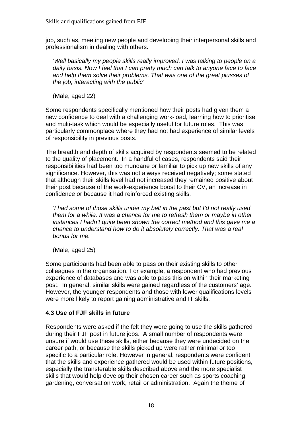job, such as, meeting new people and developing their interpersonal skills and professionalism in dealing with others.

*'Well basically my people skills really improved, I was talking to people on a daily basis. Now I feel that I can pretty much can talk to anyone face to face and help them solve their problems. That was one of the great plusses of the job, interacting with the public'* 

(Male, aged 22)

Some respondents specifically mentioned how their posts had given them a new confidence to deal with a challenging work-load, learning how to prioritise and multi-task which would be especially useful for future roles. This was particularly commonplace where they had not had experience of similar levels of responsibility in previous posts.

The breadth and depth of skills acquired by respondents seemed to be related to the quality of placement. In a handful of cases, respondents said their responsibilities had been too mundane or familiar to pick up new skills of any significance. However, this was not always received negatively; some stated that although their skills level had not increased they remained positive about their post because of the work-experience boost to their CV, an increase in confidence or because it had reinforced existing skills.

*'I had some of those skills under my belt in the past but I'd not really used them for a while. It was a chance for me to refresh them or maybe in other instances I hadn't quite been shown the correct method and this gave me a chance to understand how to do it absolutely correctly. That was a real bonus for me.'* 

(Male, aged 25)

Some participants had been able to pass on their existing skills to other colleagues in the organisation. For example, a respondent who had previous experience of databases and was able to pass this on within their marketing post. In general, similar skills were gained regardless of the customers' age. However, the younger respondents and those with lower qualifications levels were more likely to report gaining administrative and IT skills.

#### **4.3 Use of FJF skills in future**

Respondents were asked if the felt they were going to use the skills gathered during their FJF post in future jobs. A small number of respondents were unsure if would use these skills, either because they were undecided on the career path, or because the skills picked up were rather minimal or too specific to a particular role. However in general, respondents were confident that the skills and experience gathered would be used within future positions, especially the transferable skills described above and the more specialist skills that would help develop their chosen career such as sports coaching, gardening, conversation work, retail or administration. Again the theme of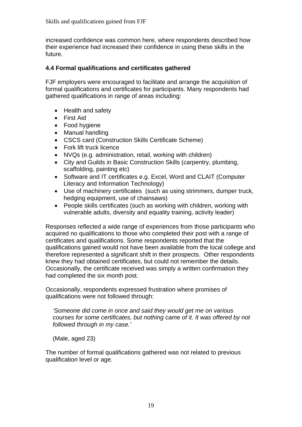increased confidence was common here, where respondents described how their experience had increased their confidence in using these skills in the future.

#### **4.4 Formal qualifications and certificates gathered**

FJF employers were encouraged to facilitate and arrange the acquisition of formal qualifications and certificates for participants. Many respondents had gathered qualifications in range of areas including:

- Health and safety
- First Aid
- Food hygiene
- Manual handling
- CSCS card (Construction Skills Certificate Scheme)
- Fork lift truck licence
- NVQs (e.g. administration, retail, working with children)
- City and Guilds in Basic Construction Skills (carpentry, plumbing, scaffolding, painting etc)
- Software and IT certificates e.g. Excel, Word and CLAIT (Computer Literacy and Information Technology)
- Use of machinery certificates (such as using strimmers, dumper truck, hedging equipment, use of chainsaws)
- People skills certificates (such as working with children, working with vulnerable adults, diversity and equality training, activity leader)

Responses reflected a wide range of experiences from those participants who acquired no qualifications to those who completed their post with a range of certificates and qualifications. Some respondents reported that the qualifications gained would not have been available from the local college and therefore represented a significant shift in their prospects. Other respondents knew they had obtained certificates, but could not remember the details. Occasionally, the certificate received was simply a written confirmation they had completed the six month post.

Occasionally, respondents expressed frustration where promises of qualifications were not followed through:

*'Someone did come in once and said they would get me on various courses for some certificates, but nothing came of it. It was offered by not followed through in my case.'* 

(Male, aged 23)

The number of formal qualifications gathered was not related to previous qualification level or age.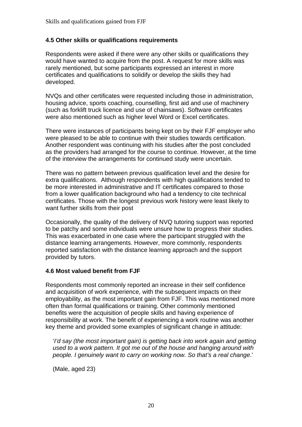#### **4.5 Other skills or qualifications requirements**

Respondents were asked if there were any other skills or qualifications they would have wanted to acquire from the post. A request for more skills was rarely mentioned, but some participants expressed an interest in more certificates and qualifications to solidify or develop the skills they had developed.

NVQs and other certificates were requested including those in administration, housing advice, sports coaching, counselling, first aid and use of machinery (such as forklift truck licence and use of chainsaws). Software certificates were also mentioned such as higher level Word or Excel certificates.

There were instances of participants being kept on by their FJF employer who were pleased to be able to continue with their studies towards certification. Another respondent was continuing with his studies after the post concluded as the providers had arranged for the course to continue. However, at the time of the interview the arrangements for continued study were uncertain.

There was no pattern between previous qualification level and the desire for extra qualifications. Although respondents with high qualifications tended to be more interested in administrative and IT certificates compared to those from a lower qualification background who had a tendency to cite technical certificates. Those with the longest previous work history were least likely to want further skills from their post

Occasionally, the quality of the delivery of NVQ tutoring support was reported to be patchy and some individuals were unsure how to progress their studies. This was exacerbated in one case where the participant struggled with the distance learning arrangements. However, more commonly, respondents reported satisfaction with the distance learning approach and the support provided by tutors.

#### **4.6 Most valued benefit from FJF**

Respondents most commonly reported an increase in their self confidence and acquisition of work experience, with the subsequent impacts on their employability, as the most important gain from FJF. This was mentioned more often than formal qualifications or training. Other commonly mentioned benefits were the acquisition of people skills and having experience of responsibility at work. The benefit of experiencing a work routine was another key theme and provided some examples of significant change in attitude:

'*I'd say (the most important gain) is getting back into work again and getting used to a work pattern. It got me out of the house and hanging around with people. I genuinely want to carry on working now. So that's a real change*.'

(Male, aged 23)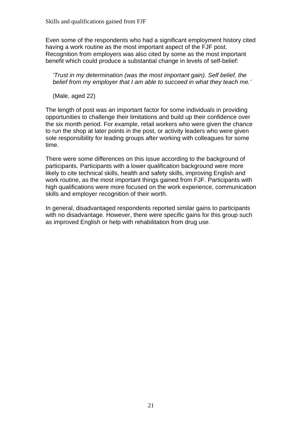Even some of the respondents who had a significant employment history cited having a work routine as the most important aspect of the FJF post. Recognition from employers was also cited by some as the most important benefit which could produce a substantial change in levels of self-belief:

*'Trust in my determination (was the most important gain). Self belief, the belief from my employer that I am able to succeed in what they teach me.'* 

(Male, aged 22)

The length of post was an important factor for some individuals in providing opportunities to challenge their limitations and build up their confidence over the six month period. For example, retail workers who were given the chance to run the shop at later points in the post, or activity leaders who were given sole responsibility for leading groups after working with colleagues for some time.

There were some differences on this issue according to the background of participants. Participants with a lower qualification background were more likely to cite technical skills, health and safety skills, improving English and work routine, as the most important things gained from FJF. Participants with high qualifications were more focused on the work experience, communication skills and employer recognition of their worth.

In general, disadvantaged respondents reported similar gains to participants with no disadvantage. However, there were specific gains for this group such as improved English or help with rehabilitation from drug use.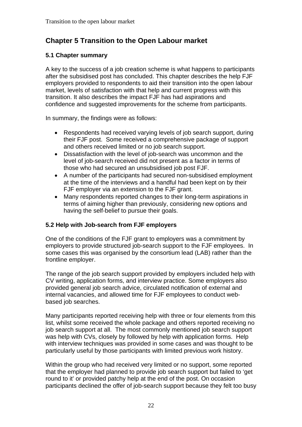# **Chapter 5 Transition to the Open Labour market**

#### **5.1 Chapter summary**

A key to the success of a job creation scheme is what happens to participants after the subsidised post has concluded. This chapter describes the help FJF employers provided to respondents to aid their transition into the open labour market, levels of satisfaction with that help and current progress with this transition. It also describes the impact FJF has had aspirations and confidence and suggested improvements for the scheme from participants.

In summary, the findings were as follows:

- Respondents had received varying levels of job search support, during their FJF post. Some received a comprehensive package of support and others received limited or no job search support.
- Dissatisfaction with the level of job-search was uncommon and the level of job-search received did not present as a factor in terms of those who had secured an unsubsidised job post FJF.
- A number of the participants had secured non-subsidised employment at the time of the interviews and a handful had been kept on by their FJF employer via an extension to the FJF grant.
- Many respondents reported changes to their long-term aspirations in terms of aiming higher than previously, considering new options and having the self-belief to pursue their goals.

### **5.2 Help with Job-search from FJF employers**

One of the conditions of the FJF grant to employers was a commitment by employers to provide structured job-search support to the FJF employees. In some cases this was organised by the consortium lead (LAB) rather than the frontline employer.

The range of the job search support provided by employers included help with CV writing, application forms, and interview practice. Some employers also provided general job search advice, circulated notification of external and internal vacancies, and allowed time for FJF employees to conduct webbased job searches.

Many participants reported receiving help with three or four elements from this list, whilst some received the whole package and others reported receiving no job search support at all. The most commonly mentioned job search support was help with CVs, closely by followed by help with application forms. Help with interview techniques was provided in some cases and was thought to be particularly useful by those participants with limited previous work history.

Within the group who had received very limited or no support, some reported that the employer had planned to provide job search support but failed to 'get round to it' or provided patchy help at the end of the post. On occasion participants declined the offer of job-search support because they felt too busy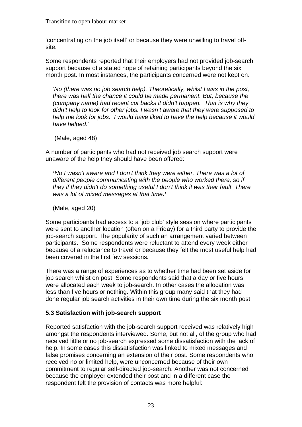'concentrating on the job itself' or because they were unwilling to travel offsite.

Some respondents reported that their employers had not provided job-search support because of a stated hope of retaining participants beyond the six month post. In most instances, the participants concerned were not kept on.

*'No (there was no job search help). Theoretically, whilst I was in the post, there was half the chance it could be made permanent. But, because the (company name) had recent cut backs it didn't happen. That is why they didn't help to look for other jobs. I wasn't aware that they were supposed to help me look for jobs. I would have liked to have the help because it would have helped.'* 

(Male, aged 48)

A number of participants who had not received job search support were unaware of the help they should have been offered:

*'No I wasn't aware and I don't think they were either. There was a lot of different people communicating with the people who worked there, so if they if they didn't do something useful I don't think it was their fault. There was a lot of mixed messages at that time.'* 

(Male, aged 20)

Some participants had access to a 'job club' style session where participants were sent to another location (often on a Friday) for a third party to provide the job-search support. The popularity of such an arrangement varied between participants. Some respondents were reluctant to attend every week either because of a reluctance to travel or because they felt the most useful help had been covered in the first few sessions*.*

There was a range of experiences as to whether time had been set aside for job search whilst on post. Some respondents said that a day or five hours were allocated each week to job-search. In other cases the allocation was less than five hours or nothing. Within this group many said that they had done regular job search activities in their own time during the six month post.

#### **5.3 Satisfaction with job-search support**

Reported satisfaction with the job-search support received was relatively high amongst the respondents interviewed. Some, but not all, of the group who had received little or no job-search expressed some dissatisfaction with the lack of help. In some cases this dissatisfaction was linked to mixed messages and false promises concerning an extension of their post. Some respondents who received no or limited help, were unconcerned because of their own commitment to regular self-directed job-search. Another was not concerned because the employer extended their post and in a different case the respondent felt the provision of contacts was more helpful: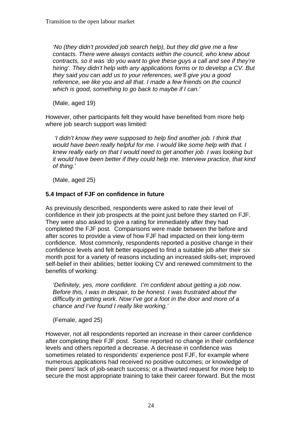*'No (they didn't provided job search help), but they did give me a few contacts. There were always contacts within the council, who knew about contracts, so it was 'do you want to give these guys a call and see if they're hiring'. They didn't help with any applications forms or to develop a CV. But they said you can add us to your references, we'll give you a good reference, we like you and all that. I made a few friends on the council which is good, something to go back to maybe if I can.'* 

(Male, aged 19)

However, other participants felt they would have benefited from more help where job search support was limited:

 *'I didn't know they were supposed to help find another job. I think that would have been really helpful for me. I would like some help with that. I knew really early on that I would need to get another job. I was looking but it would have been better if they could help me. Interview practice, that kind of thing.'* 

(Male, aged 25)

#### **5.4 Impact of FJF on confidence in future**

As previously described, respondents were asked to rate their level of confidence in their job prospects at the point just before they started on FJF. They were also asked to give a rating for immediately after they had completed the FJF post. Comparisons were made between the before and after scores to provide a view of how FJF had impacted on their long-term confidence. Most commonly, respondents reported a positive change in their confidence levels and felt better equipped to find a suitable job after their six month post for a variety of reasons including an increased skills-set; improved self-belief in their abilities; better looking CV and renewed commitment to the benefits of working:

*'Definitely, yes, more confident. I'm confident about getting a job now. Before this, I was in despair, to be honest. I was frustrated about the difficulty in getting work. Now I've got a foot in the door and more of a chance and I've found I really like working.'* 

(Female, aged 25)

However, not all respondents reported an increase in their career confidence after completing their FJF post. Some reported no change in their confidence levels and others reported a decrease. A decrease in confidence was sometimes related to respondents' experience post FJF, for example where numerous applications had received no positive outcomes; or knowledge of their peers' lack of job-search success; or a thwarted request for more help to secure the most appropriate training to take their career forward. But the most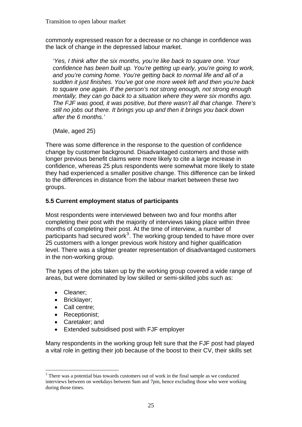commonly expressed reason for a decrease or no change in confidence was the lack of change in the depressed labour market.

*'Yes, I think after the six months, you're like back to square one. Your confidence has been built up. You're getting up early, you're going to work, and you're coming home. You're getting back to normal life and all of a sudden it just finishes. You've got one more week left and then you're back to square one again. If the person's not strong enough, not strong enough mentally, they can go back to a situation where they were six months ago. The FJF was good, it was positive, but there wasn't all that change. There's still no jobs out there. It brings you up and then it brings you back down after the 6 months.'* 

(Male, aged 25)

There was some difference in the response to the question of confidence change by customer background. Disadvantaged customers and those with longer previous benefit claims were more likely to cite a large increase in confidence, whereas 25 plus respondents were somewhat more likely to state they had experienced a smaller positive change. This difference can be linked to the differences in distance from the labour market between these two groups.

#### **5.5 Current employment status of participants**

Most respondents were interviewed between two and four months after completing their post with the majority of interviews taking place within three months of completing their post. At the time of interview, a number of participants had secured work $3$ . The working group tended to have more over 25 customers with a longer previous work history and higher qualification level. There was a slighter greater representation of disadvantaged customers in the non-working group.

The types of the jobs taken up by the working group covered a wide range of areas, but were dominated by low skilled or semi-skilled jobs such as:

• Cleaner:

 $\overline{a}$ 

- Bricklayer;
- Call centre:
- Receptionist:
- Caretaker; and
- Extended subsidised post with FJF employer

Many respondents in the working group felt sure that the FJF post had played a vital role in getting their job because of the boost to their CV, their skills set

<span id="page-29-0"></span> $3$  There was a potential bias towards customers out of work in the final sample as we conducted interviews between on weekdays between 9am and 7pm, hence excluding those who were working during those times.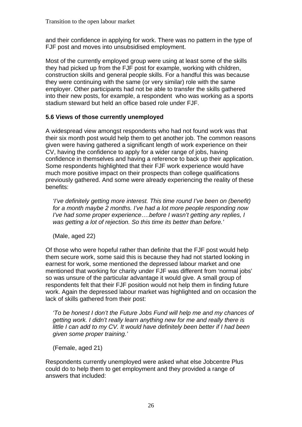and their confidence in applying for work. There was no pattern in the type of FJF post and moves into unsubsidised employment.

Most of the currently employed group were using at least some of the skills they had picked up from the FJF post for example, working with children, construction skills and general people skills. For a handful this was because they were continuing with the same (or very similar) role with the same employer. Other participants had not be able to transfer the skills gathered into their new posts, for example, a respondent who was working as a sports stadium steward but held an office based role under FJF.

#### **5.6 Views of those currently unemployed**

A widespread view amongst respondents who had not found work was that their six month post would help them to get another job. The common reasons given were having gathered a significant length of work experience on their CV, having the confidence to apply for a wider range of jobs, having confidence in themselves and having a reference to back up their application. Some respondents highlighted that their FJF work experience would have much more positive impact on their prospects than college qualifications previously gathered. And some were already experiencing the reality of these benefits:

*'I've definitely getting more interest. This time round I've been on (benefit) for a month maybe 2 months. I've had a lot more people responding now I've had some proper experience….before I wasn't getting any replies, I was getting a lot of rejection. So this time its better than before.'* 

(Male, aged 22)

Of those who were hopeful rather than definite that the FJF post would help them secure work, some said this is because they had not started looking in earnest for work, some mentioned the depressed labour market and one mentioned that working for charity under FJF was different from 'normal jobs' so was unsure of the particular advantage it would give. A small group of respondents felt that their FJF position would not help them in finding future work. Again the depressed labour market was highlighted and on occasion the lack of skills gathered from their post:

*'To be honest I don't the Future Jobs Fund will help me and my chances of getting work. I didn't really learn anything new for me and really there is little I can add to my CV. It would have definitely been better if I had been given some proper training.'* 

(Female, aged 21)

Respondents currently unemployed were asked what else Jobcentre Plus could do to help them to get employment and they provided a range of answers that included: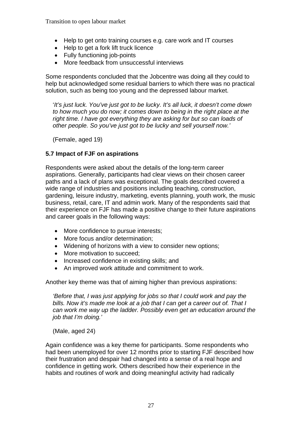Transition to open labour market

- Help to get onto training courses e.g. care work and IT courses
- Help to get a fork lift truck licence
- Fully functioning job-points
- More feedback from unsuccessful interviews

Some respondents concluded that the Jobcentre was doing all they could to help but acknowledged some residual barriers to which there was no practical solution, such as being too young and the depressed labour market.

'*It's just luck. You've just got to be lucky. It's all luck, it doesn't come down to how much you do now; it comes down to being in the right place at the right time. I have got everything they are asking for but so can loads of other people. So you've just got to be lucky and sell yourself now.'* 

(Female, aged 19)

#### **5.7 Impact of FJF on aspirations**

Respondents were asked about the details of the long-term career aspirations. Generally, participants had clear views on their chosen career paths and a lack of plans was exceptional. The goals described covered a wide range of industries and positions including teaching, construction, gardening, leisure industry, marketing, events planning, youth work, the music business, retail, care, IT and admin work. Many of the respondents said that their experience on FJF has made a positive change to their future aspirations and career goals in the following ways:

- More confidence to pursue interests;
- More focus and/or determination;
- Widening of horizons with a view to consider new options;
- More motivation to succeed;
- Increased confidence in existing skills; and
- An improved work attitude and commitment to work.

Another key theme was that of aiming higher than previous aspirations:

*'Before that, I was just applying for jobs so that I could work and pay the bills. Now it's made me look at a job that I can get a career out of. That I can work me way up the ladder. Possibly even get an education around the job that I'm doing.'* 

(Male, aged 24)

Again confidence was a key theme for participants. Some respondents who had been unemployed for over 12 months prior to starting FJF described how their frustration and despair had changed into a sense of a real hope and confidence in getting work. Others described how their experience in the habits and routines of work and doing meaningful activity had radically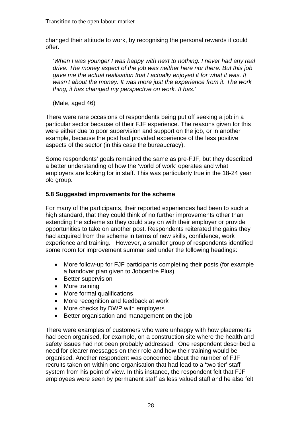changed their attitude to work, by recognising the personal rewards it could offer.

*'When I was younger I was happy with next to nothing. I never had any real drive. The money aspect of the job was neither here nor there. But this job gave me the actual realisation that I actually enjoyed it for what it was. It wasn't about the money. It was more just the experience from it. The work thing, it has changed my perspective on work. It has.'* 

(Male, aged 46)

There were rare occasions of respondents being put off seeking a job in a particular sector because of their FJF experience. The reasons given for this were either due to poor supervision and support on the job, or in another example, because the post had provided experience of the less positive aspects of the sector (in this case the bureaucracy).

Some respondents' goals remained the same as pre-FJF, but they described a better understanding of how the 'world of work' operates and what employers are looking for in staff. This was particularly true in the 18-24 year old group.

#### **5.8 Suggested improvements for the scheme**

For many of the participants, their reported experiences had been to such a high standard, that they could think of no further improvements other than extending the scheme so they could stay on with their employer or provide opportunities to take on another post. Respondents reiterated the gains they had acquired from the scheme in terms of new skills, confidence, work experience and training. However, a smaller group of respondents identified some room for improvement summarised under the following headings:

- More follow-up for FJF participants completing their posts (for example a handover plan given to Jobcentre Plus)
- Better supervision
- More training
- More formal qualifications
- More recognition and feedback at work
- More checks by DWP with employers
- Better organisation and management on the job

There were examples of customers who were unhappy with how placements had been organised, for example, on a construction site where the health and safety issues had not been probably addressed. One respondent described a need for clearer messages on their role and how their training would be organised. Another respondent was concerned about the number of FJF recruits taken on within one organisation that had lead to a 'two tier' staff system from his point of view. In this instance, the respondent felt that FJF employees were seen by permanent staff as less valued staff and he also felt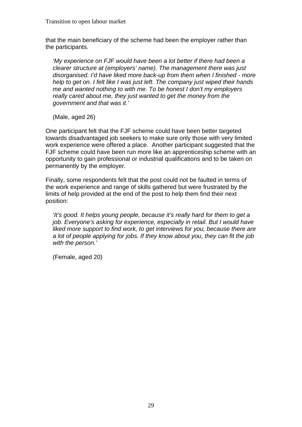that the main beneficiary of the scheme had been the employer rather than the participants.

*'My experience on FJF would have been a lot better if there had been a clearer structure at (employers' name). The management there was just disorganised. I'd have liked more back-up from them when I finished - more help to get on. I felt like I was just left. The company just wiped their hands me and wanted nothing to with me. To be honest I don't my employers really cared about me, they just wanted to get the money from the government and that was it.'* 

(Male, aged 26)

One participant felt that the FJF scheme could have been better targeted towards disadvantaged job seekers to make sure only those with very limited work experience were offered a place. Another participant suggested that the FJF scheme could have been run more like an apprenticeship scheme with an opportunity to gain professional or industrial qualifications and to be taken on permanently by the employer.

Finally, some respondents felt that the post could not be faulted in terms of the work experience and range of skills gathered but were frustrated by the limits of help provided at the end of the post to help them find their next position:

*'It's good. It helps young people, because it's really hard for them to get a job. Everyone's asking for experience, especially in retail. But I would have* liked more support to find work, to get interviews for you, because there are *a lot of people applying for jobs. If they know about you, they can fit the job with the person.'* 

(Female, aged 20)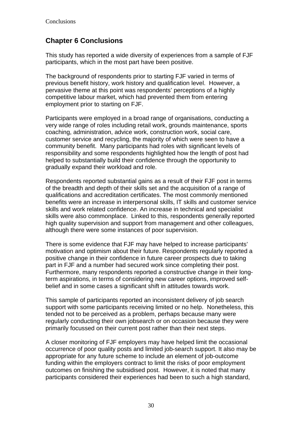# **Chapter 6 Conclusions**

This study has reported a wide diversity of experiences from a sample of FJF participants, which in the most part have been positive.

The background of respondents prior to starting FJF varied in terms of previous benefit history, work history and qualification level. However, a pervasive theme at this point was respondents' perceptions of a highly competitive labour market, which had prevented them from entering employment prior to starting on FJF.

Participants were employed in a broad range of organisations, conducting a very wide range of roles including retail work, grounds maintenance, sports coaching, administration, advice work, construction work, social care, customer service and recycling, the majority of which were seen to have a community benefit. Many participants had roles with significant levels of responsibility and some respondents highlighted how the length of post had helped to substantially build their confidence through the opportunity to gradually expand their workload and role.

Respondents reported substantial gains as a result of their FJF post in terms of the breadth and depth of their skills set and the acquisition of a range of qualifications and accreditation certificates. The most commonly mentioned benefits were an increase in interpersonal skills, IT skills and customer service skills and work related confidence. An increase in technical and specialist skills were also commonplace. Linked to this, respondents generally reported high quality supervision and support from management and other colleagues, although there were some instances of poor supervision.

There is some evidence that FJF may have helped to increase participants' motivation and optimism about their future. Respondents regularly reported a positive change in their confidence in future career prospects due to taking part in FJF and a number had secured work since completing their post. Furthermore, many respondents reported a constructive change in their longterm aspirations, in terms of considering new career options, improved selfbelief and in some cases a significant shift in attitudes towards work.

This sample of participants reported an inconsistent delivery of job search support with some participants receiving limited or no help. Nonetheless, this tended not to be perceived as a problem, perhaps because many were regularly conducting their own jobsearch or on occasion because they were primarily focussed on their current post rather than their next steps.

A closer monitoring of FJF employers may have helped limit the occasional occurrence of poor quality posts and limited job-search support. It also may be appropriate for any future scheme to include an element of job-outcome funding within the employers contract to limit the risks of poor employment outcomes on finishing the subsidised post. However, it is noted that many participants considered their experiences had been to such a high standard,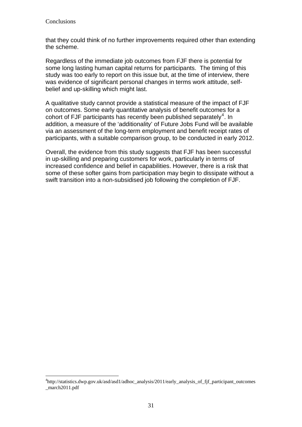that they could think of no further improvements required other than extending the scheme.

Regardless of the immediate job outcomes from FJF there is potential for some long lasting human capital returns for participants. The timing of this study was too early to report on this issue but, at the time of interview, there was evidence of significant personal changes in terms work attitude, selfbelief and up-skilling which might last.

A qualitative study cannot provide a statistical measure of the impact of FJF on outcomes. Some early quantitative analysis of benefit outcomes for a cohort of FJF participants has recently been published separately<sup>[4](#page-35-0)</sup>. In addition, a measure of the 'additionality' of Future Jobs Fund will be available via an assessment of the long-term employment and benefit receipt rates of participants, with a suitable comparison group, to be conducted in early 2012.

Overall, the evidence from this study suggests that FJF has been successful in up-skilling and preparing customers for work, particularly in terms of increased confidence and belief in capabilities. However, there is a risk that some of these softer gains from participation may begin to dissipate without a swift transition into a non-subsidised job following the completion of FJF.

<span id="page-35-0"></span> $\overline{a}$ 4 http://statistics.dwp.gov.uk/asd/asd1/adhoc\_analysis/2011/early\_analysis\_of\_fjf\_participant\_outcomes \_march2011.pdf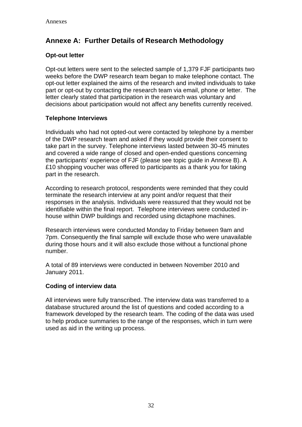# **Annexe A: Further Details of Research Methodology**

#### **Opt-out letter**

Opt-out letters were sent to the selected sample of 1,379 FJF participants two weeks before the DWP research team began to make telephone contact. The opt-out letter explained the aims of the research and invited individuals to take part or opt-out by contacting the research team via email, phone or letter. The letter clearly stated that participation in the research was voluntary and decisions about participation would not affect any benefits currently received.

#### **Telephone Interviews**

Individuals who had not opted-out were contacted by telephone by a member of the DWP research team and asked if they would provide their consent to take part in the survey. Telephone interviews lasted between 30-45 minutes and covered a wide range of closed and open-ended questions concerning the participants' experience of FJF (please see topic guide in Annexe B). A £10 shopping voucher was offered to participants as a thank you for taking part in the research.

According to research protocol, respondents were reminded that they could terminate the research interview at any point and/or request that their responses in the analysis. Individuals were reassured that they would not be identifiable within the final report. Telephone interviews were conducted inhouse within DWP buildings and recorded using dictaphone machines.

Research interviews were conducted Monday to Friday between 9am and 7pm. Consequently the final sample will exclude those who were unavailable during those hours and it will also exclude those without a functional phone number.

A total of 89 interviews were conducted in between November 2010 and January 2011.

#### **Coding of interview data**

All interviews were fully transcribed. The interview data was transferred to a database structured around the list of questions and coded according to a framework developed by the research team. The coding of the data was used to help produce summaries to the range of the responses, which in turn were used as aid in the writing up process.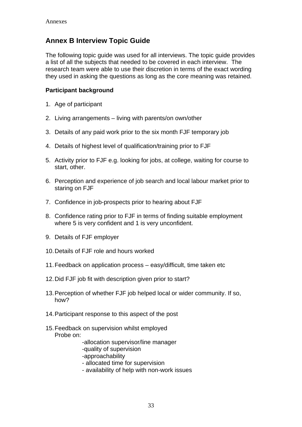# **Annex B Interview Topic Guide**

The following topic guide was used for all interviews. The topic guide provides a list of all the subjects that needed to be covered in each interview. The research team were able to use their discretion in terms of the exact wording they used in asking the questions as long as the core meaning was retained.

#### **Participant background**

- 1. Age of participant
- 2. Living arrangements living with parents/on own/other
- 3. Details of any paid work prior to the six month FJF temporary job
- 4. Details of highest level of qualification/training prior to FJF
- 5. Activity prior to FJF e.g. looking for jobs, at college, waiting for course to start, other.
- 6. Perception and experience of job search and local labour market prior to staring on FJF
- 7. Confidence in job-prospects prior to hearing about FJF
- 8. Confidence rating prior to FJF in terms of finding suitable employment where 5 is very confident and 1 is very unconfident.
- 9. Details of FJF employer
- 10. Details of FJF role and hours worked
- 11. Feedback on application process easy/difficult, time taken etc
- 12. Did FJF job fit with description given prior to start?
- 13. Perception of whether FJF job helped local or wider community. If so, how?
- 14. Participant response to this aspect of the post
- 15. Feedback on supervision whilst employed Probe on:
	- -allocation supervisor/line manager
	- -quality of supervision
	- -approachability
	- allocated time for supervision
	- availability of help with non-work issues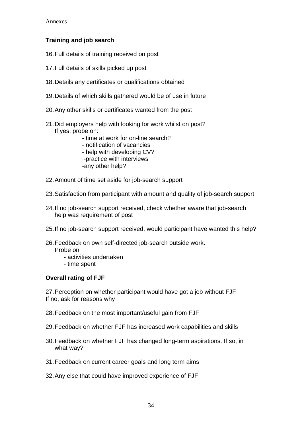#### **Training and job search**

- 16.Full details of training received on post
- 17. Full details of skills picked up post
- 18. Details any certificates or qualifications obtained
- 19. Details of which skills gathered would be of use in future
- 20. Any other skills or certificates wanted from the post
- 21. Did employers help with looking for work whilst on post? If yes, probe on:
	- time at work for on-line search?
	- notification of vacancies
	- help with developing CV?
	- -practice with interviews
	- -any other help?
- 22. Amount of time set aside for job-search support
- 23. Satisfaction from participant with amount and quality of job-search support.
- 24. If no job-search support received, check whether aware that job-search help was requirement of post
- 25. If no job-search support received, would participant have wanted this help?
- 26. Feedback on own self-directed job-search outside work. Probe on
	- activities undertaken
	- time spent

#### **Overall rating of FJF**

27. Perception on whether participant would have got a job without FJF If no, ask for reasons why

- 28. Feedback on the most important/useful gain from FJF
- 29. Feedback on whether FJF has increased work capabilities and skills
- 30. Feedback on whether FJF has changed long-term aspirations. If so, in what way?
- 31. Feedback on current career goals and long term aims
- 32. Any else that could have improved experience of FJF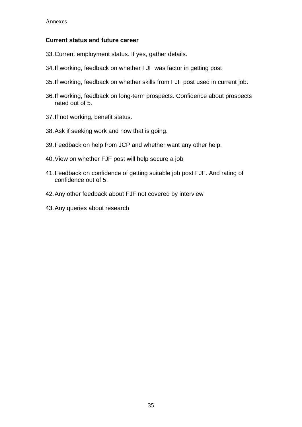#### **Current status and future career**

- 33. Current employment status. If yes, gather details.
- 34. If working, feedback on whether FJF was factor in getting post
- 35. If working, feedback on whether skills from FJF post used in current job.
- 36. If working, feedback on long-term prospects. Confidence about prospects rated out of 5.
- 37. If not working, benefit status.
- 38. Ask if seeking work and how that is going.
- 39. Feedback on help from JCP and whether want any other help.
- 40. View on whether FJF post will help secure a job
- 41. Feedback on confidence of getting suitable job post FJF. And rating of confidence out of 5.
- 42. Any other feedback about FJF not covered by interview
- 43. Any queries about research